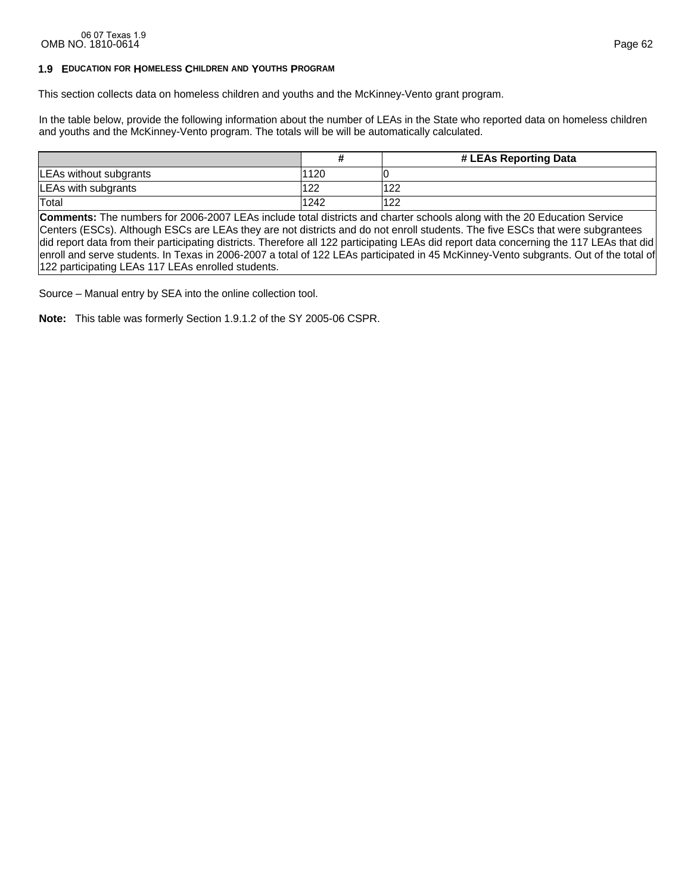# **1.9 EDUCATION FOR HOMELESS CHILDREN AND YOUTHS PROGRAM**

This section collects data on homeless children and youths and the McKinney-Vento grant program.

In the table below, provide the following information about the number of LEAs in the State who reported data on homeless children and youths and the McKinney-Vento program. The totals will be will be automatically calculated.

|                        |      | # LEAs Reporting Data |
|------------------------|------|-----------------------|
| LEAs without subgrants | 1120 |                       |
| LEAs with subgrants    | 122  | 122                   |
| Total                  | 1242 | 122                   |

**Comments:** The numbers for 2006-2007 LEAs include total districts and charter schools along with the 20 Education Service Centers (ESCs). Although ESCs are LEAs they are not districts and do not enroll students. The five ESCs that were subgrantees did report data from their participating districts. Therefore all 122 participating LEAs did report data concerning the 117 LEAs that did enroll and serve students. In Texas in 2006-2007 a total of 122 LEAs participated in 45 McKinney-Vento subgrants. Out of the total of 122 participating LEAs 117 LEAs enrolled students.

Source – Manual entry by SEA into the online collection tool.

**Note:** This table was formerly Section 1.9.1.2 of the SY 2005-06 CSPR.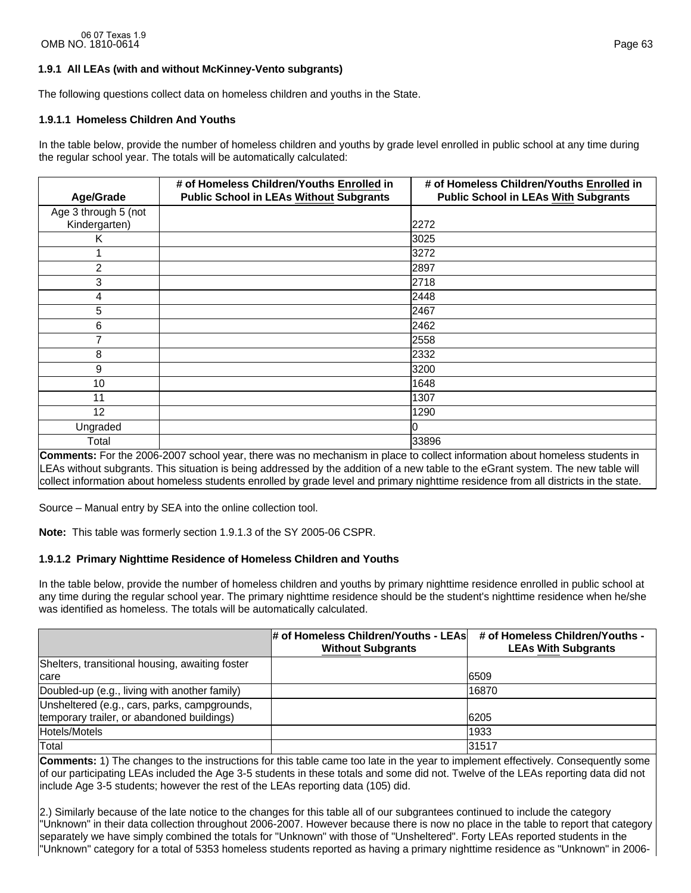# **1.9.1 All LEAs (with and without McKinney-Vento subgrants)**

The following questions collect data on homeless children and youths in the State.

# **1.9.1.1 Homeless Children And Youths**

In the table below, provide the number of homeless children and youths by grade level enrolled in public school at any time during the regular school year. The totals will be automatically calculated:

|                      | # of Homeless Children/Youths Enrolled in      | # of Homeless Children/Youths Enrolled in   |
|----------------------|------------------------------------------------|---------------------------------------------|
| Age/Grade            | <b>Public School in LEAs Without Subgrants</b> | <b>Public School in LEAs With Subgrants</b> |
| Age 3 through 5 (not |                                                |                                             |
| Kindergarten)        |                                                | 2272                                        |
| Κ                    |                                                | 3025                                        |
|                      |                                                | 3272                                        |
| $\overline{2}$       |                                                | 2897                                        |
| 3                    |                                                | 2718                                        |
| 4                    |                                                | 2448                                        |
| 5                    |                                                | 2467                                        |
| 6                    |                                                | 2462                                        |
| 7                    |                                                | 2558                                        |
| 8                    |                                                | 2332                                        |
| 9                    |                                                | 3200                                        |
| 10                   |                                                | 1648                                        |
| 11                   |                                                | 1307                                        |
| 12                   |                                                | 1290                                        |
| Ungraded             |                                                | lО                                          |
| Total                |                                                | 33896                                       |

**Comments:** For the 2006-2007 school year, there was no mechanism in place to collect information about homeless students in LEAs without subgrants. This situation is being addressed by the addition of a new table to the eGrant system. The new table will collect information about homeless students enrolled by grade level and primary nighttime residence from all districts in the state.

Source – Manual entry by SEA into the online collection tool.

**Note:** This table was formerly section 1.9.1.3 of the SY 2005-06 CSPR.

### **1.9.1.2 Primary Nighttime Residence of Homeless Children and Youths**

In the table below, provide the number of homeless children and youths by primary nighttime residence enrolled in public school at any time during the regular school year. The primary nighttime residence should be the student's nighttime residence when he/she was identified as homeless. The totals will be automatically calculated.

|                                                 | # of Homeless Children/Youths - LEAs<br><b>Without Subgrants</b> | # of Homeless Children/Youths -<br><b>LEAs With Subgrants</b> |
|-------------------------------------------------|------------------------------------------------------------------|---------------------------------------------------------------|
| Shelters, transitional housing, awaiting foster |                                                                  |                                                               |
| Icare                                           |                                                                  | 6509                                                          |
| Doubled-up (e.g., living with another family)   |                                                                  | 16870                                                         |
| Unsheltered (e.g., cars, parks, campgrounds,    |                                                                  |                                                               |
| temporary trailer, or abandoned buildings)      |                                                                  | 6205                                                          |
| Hotels/Motels                                   |                                                                  | 1933                                                          |
| Total                                           |                                                                  | 31517                                                         |

**Comments:** 1) The changes to the instructions for this table came too late in the year to implement effectively. Consequently some of our participating LEAs included the Age 3-5 students in these totals and some did not. Twelve of the LEAs reporting data did not include Age 3-5 students; however the rest of the LEAs reporting data (105) did.

2.) Similarly because of the late notice to the changes for this table all of our subgrantees continued to include the category "Unknown" in their data collection throughout 2006-2007. However because there is now no place in the table to report that category separately we have simply combined the totals for "Unknown" with those of "Unsheltered". Forty LEAs reported students in the "Unknown" category for a total of 5353 homeless students reported as having a primary nighttime residence as "Unknown" in 2006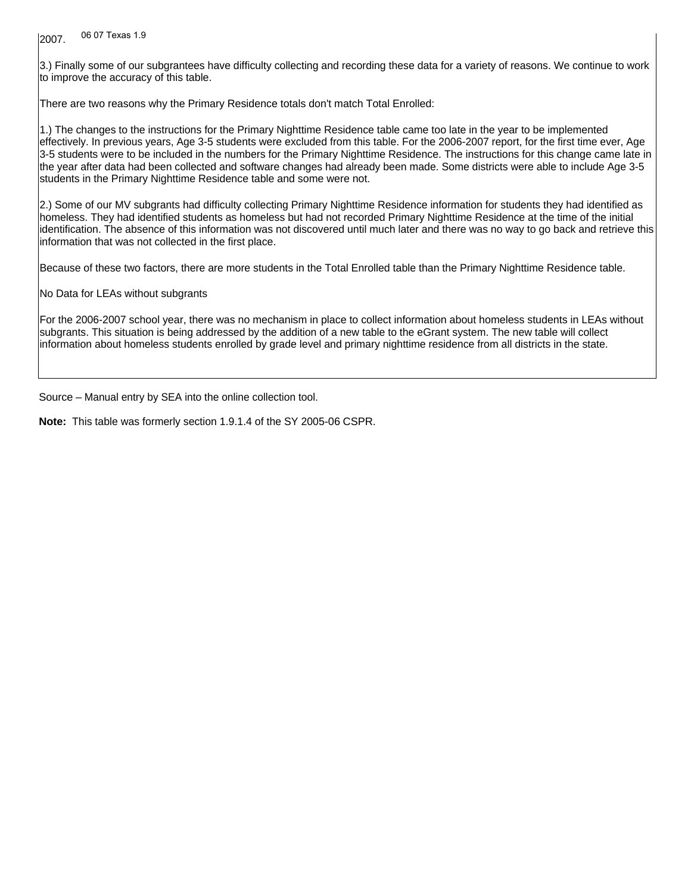2007. 06 07 Texas 1.9

3.) Finally some of our subgrantees have difficulty collecting and recording these data for a variety of reasons. We continue to work to improve the accuracy of this table.

There are two reasons why the Primary Residence totals don't match Total Enrolled:

1.) The changes to the instructions for the Primary Nighttime Residence table came too late in the year to be implemented effectively. In previous years, Age 3-5 students were excluded from this table. For the 2006-2007 report, for the first time ever, Age 3-5 students were to be included in the numbers for the Primary Nighttime Residence. The instructions for this change came late in the year after data had been collected and software changes had already been made. Some districts were able to include Age 3-5 students in the Primary Nighttime Residence table and some were not.

2.) Some of our MV subgrants had difficulty collecting Primary Nighttime Residence information for students they had identified as homeless. They had identified students as homeless but had not recorded Primary Nighttime Residence at the time of the initial identification. The absence of this information was not discovered until much later and there was no way to go back and retrieve this information that was not collected in the first place.

Because of these two factors, there are more students in the Total Enrolled table than the Primary Nighttime Residence table.

No Data for LEAs without subgrants

For the 2006-2007 school year, there was no mechanism in place to collect information about homeless students in LEAs without subgrants. This situation is being addressed by the addition of a new table to the eGrant system. The new table will collect information about homeless students enrolled by grade level and primary nighttime residence from all districts in the state.

Source – Manual entry by SEA into the online collection tool.

**Note:** This table was formerly section 1.9.1.4 of the SY 2005-06 CSPR.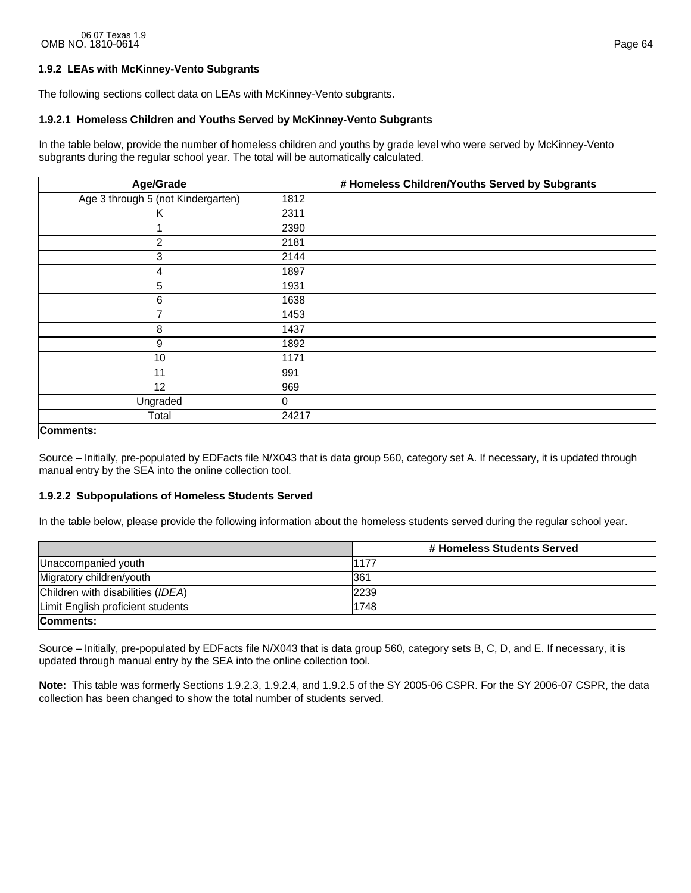# **1.9.2 LEAs with McKinney-Vento Subgrants**

The following sections collect data on LEAs with McKinney-Vento subgrants.

### **1.9.2.1 Homeless Children and Youths Served by McKinney-Vento Subgrants**

In the table below, provide the number of homeless children and youths by grade level who were served by McKinney-Vento subgrants during the regular school year. The total will be automatically calculated.

| Age/Grade                          | # Homeless Children/Youths Served by Subgrants |
|------------------------------------|------------------------------------------------|
| Age 3 through 5 (not Kindergarten) | 1812                                           |
| K                                  | 2311                                           |
|                                    | 2390                                           |
| $\overline{2}$                     | 2181                                           |
| 3                                  | 2144                                           |
| 4                                  | 1897                                           |
| 5                                  | 1931                                           |
| 6                                  | 1638                                           |
| 7                                  | 1453                                           |
| 8                                  | 1437                                           |
| 9                                  | 1892                                           |
| 10                                 | 1171                                           |
| 11                                 | 991                                            |
| 12                                 | 969                                            |
| Ungraded                           |                                                |
| Total                              | 24217                                          |
| Comments:                          |                                                |

Source – Initially, pre-populated by EDFacts file N/X043 that is data group 560, category set A. If necessary, it is updated through manual entry by the SEA into the online collection tool.

### **1.9.2.2 Subpopulations of Homeless Students Served**

In the table below, please provide the following information about the homeless students served during the regular school year.

|                                   | # Homeless Students Served |
|-----------------------------------|----------------------------|
| Unaccompanied youth               | 1177                       |
| Migratory children/youth          | 361                        |
| Children with disabilities (IDEA) | 2239                       |
| Limit English proficient students | 1748                       |
| Comments:                         |                            |

Source – Initially, pre-populated by EDFacts file N/X043 that is data group 560, category sets B, C, D, and E. If necessary, it is updated through manual entry by the SEA into the online collection tool.

**Note:** This table was formerly Sections 1.9.2.3, 1.9.2.4, and 1.9.2.5 of the SY 2005-06 CSPR. For the SY 2006-07 CSPR, the data collection has been changed to show the total number of students served.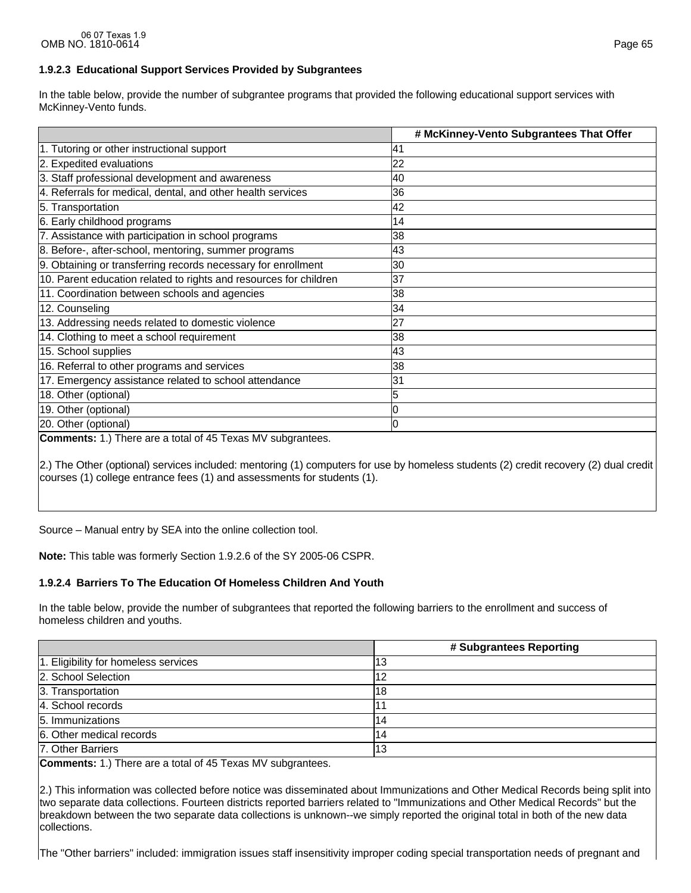In the table below, provide the number of subgrantee programs that provided the following educational support services with McKinney-Vento funds.

|                                                                    | # McKinney-Vento Subgrantees That Offer |
|--------------------------------------------------------------------|-----------------------------------------|
| 1. Tutoring or other instructional support                         | 41                                      |
| 2. Expedited evaluations                                           | 22                                      |
| 3. Staff professional development and awareness                    | 40                                      |
| 4. Referrals for medical, dental, and other health services        | 36                                      |
| 5. Transportation                                                  | 42                                      |
| 6. Early childhood programs                                        | 14                                      |
| 7. Assistance with participation in school programs                | 38                                      |
| 8. Before-, after-school, mentoring, summer programs               | 43                                      |
| 9. Obtaining or transferring records necessary for enrollment      | 30                                      |
| 10. Parent education related to rights and resources for children  | 37                                      |
| 11. Coordination between schools and agencies                      | 38                                      |
| 12. Counseling                                                     | 34                                      |
| 13. Addressing needs related to domestic violence                  | 27                                      |
| 14. Clothing to meet a school requirement                          | 38                                      |
| 15. School supplies                                                | 43                                      |
| 16. Referral to other programs and services                        | 38                                      |
| 17. Emergency assistance related to school attendance              | 31                                      |
| 18. Other (optional)                                               |                                         |
| 19. Other (optional)                                               |                                         |
| 20. Other (optional)                                               |                                         |
| <b>Comments:</b> 1.) There are a total of 45 Texas MV subgrantees. |                                         |

2.) The Other (optional) services included: mentoring (1) computers for use by homeless students (2) credit recovery (2) dual credit courses (1) college entrance fees (1) and assessments for students (1).

Source – Manual entry by SEA into the online collection tool.

**Note:** This table was formerly Section 1.9.2.6 of the SY 2005-06 CSPR.

# **1.9.2.4 Barriers To The Education Of Homeless Children And Youth**

In the table below, provide the number of subgrantees that reported the following barriers to the enrollment and success of homeless children and youths.

|                                      | # Subgrantees Reporting |
|--------------------------------------|-------------------------|
| 1. Eligibility for homeless services | 13                      |
| 2. School Selection                  |                         |
| 3. Transportation                    | '18                     |
| 4. School records                    |                         |
| 5. Immunizations                     |                         |
| 6. Other medical records             | 14                      |
| 7. Other Barriers                    | 13                      |

**Comments:** 1.) There are a total of 45 Texas MV subgrantees.

2.) This information was collected before notice was disseminated about Immunizations and Other Medical Records being split into two separate data collections. Fourteen districts reported barriers related to "Immunizations and Other Medical Records" but the breakdown between the two separate data collections is unknown--we simply reported the original total in both of the new data collections.

The "Other barriers" included: immigration issues staff insensitivity improper coding special transportation needs of pregnant and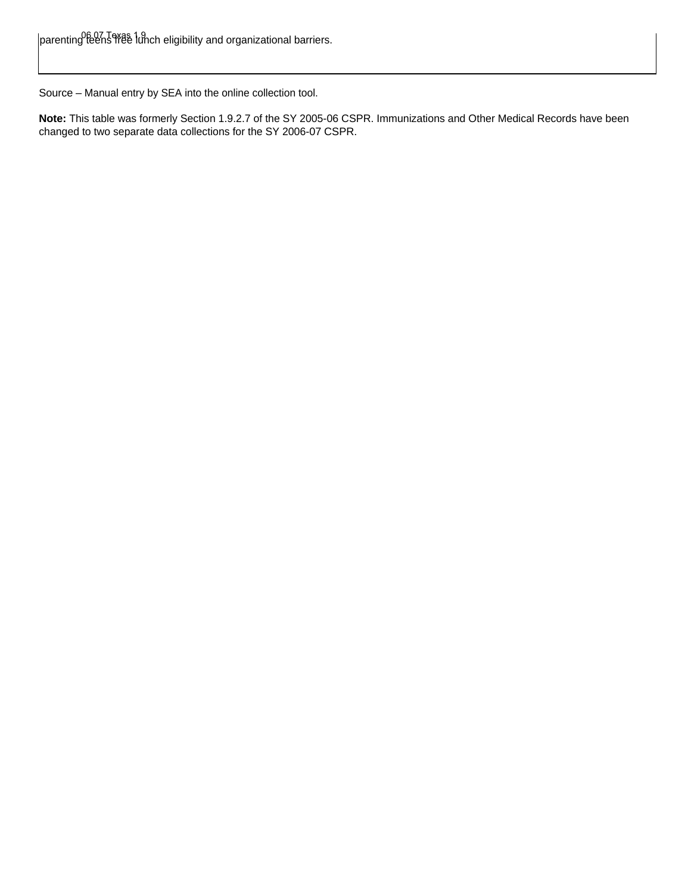Source – Manual entry by SEA into the online collection tool.

**Note:** This table was formerly Section 1.9.2.7 of the SY 2005-06 CSPR. Immunizations and Other Medical Records have been changed to two separate data collections for the SY 2006-07 CSPR.